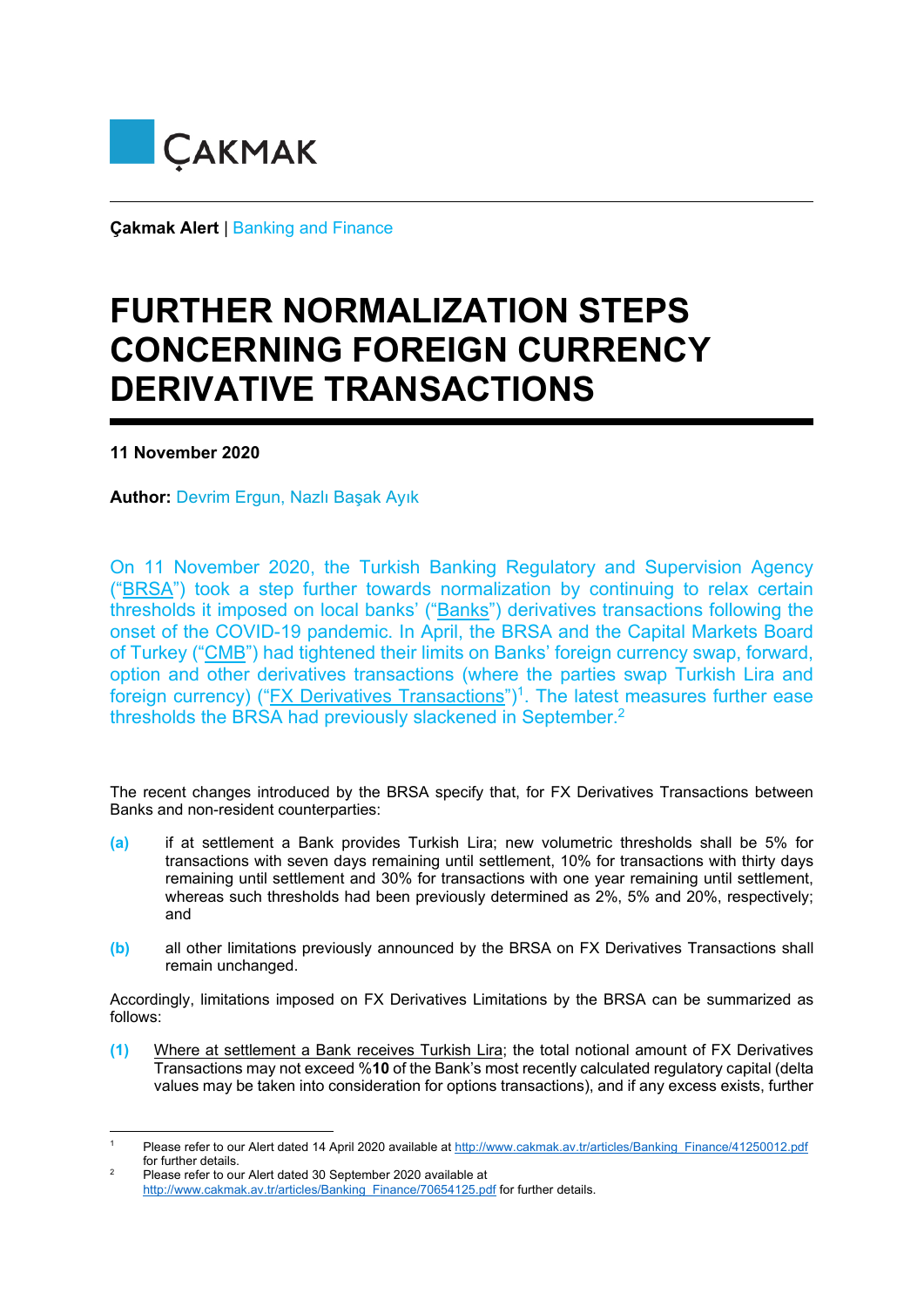

**Çakmak Alert** | Banking and Finance

## **FURTHER NORMALIZATION STEPS CONCERNING FOREIGN CURRENCY DERIVATIVE TRANSACTIONS**

## **11 November 2020**

**Author:** Devrim Ergun, Nazlı Başak Ayık

On 11 November 2020, the Turkish Banking Regulatory and Supervision Agency ("BRSA") took a step further towards normalization by continuing to relax certain thresholds it imposed on local banks' ("Banks") derivatives transactions following the onset of the COVID-19 pandemic. In April, the BRSA and the Capital Markets Board of Turkey ("CMB") had tightened their limits on Banks' foreign currency swap, forward, option and other derivatives transactions (where the parties swap Turkish Lira and foreign currency) ("FX Derivatives Transactions")<sup>1</sup>. The latest measures further ease thresholds the BRSA had previously slackened in September.2

The recent changes introduced by the BRSA specify that, for FX Derivatives Transactions between Banks and non-resident counterparties:

- **(a)** if at settlement a Bank provides Turkish Lira; new volumetric thresholds shall be 5% for transactions with seven days remaining until settlement, 10% for transactions with thirty days remaining until settlement and 30% for transactions with one year remaining until settlement, whereas such thresholds had been previously determined as 2%, 5% and 20%, respectively; and
- **(b)** all other limitations previously announced by the BRSA on FX Derivatives Transactions shall remain unchanged.

Accordingly, limitations imposed on FX Derivatives Limitations by the BRSA can be summarized as follows:

**(1)** Where at settlement a Bank receives Turkish Lira; the total notional amount of FX Derivatives Transactions may not exceed %**10** of the Bank's most recently calculated regulatory capital (delta values may be taken into consideration for options transactions), and if any excess exists, further

 1 Please refer to our Alert dated 14 April 2020 available at http://www.cakmak.av.tr/articles/Banking Finance/41250012.pdf for further details. 2

Please refer to our Alert dated 30 September 2020 available at http://www.cakmak.av.tr/articles/Banking\_Finance/70654125.pdf for further details.